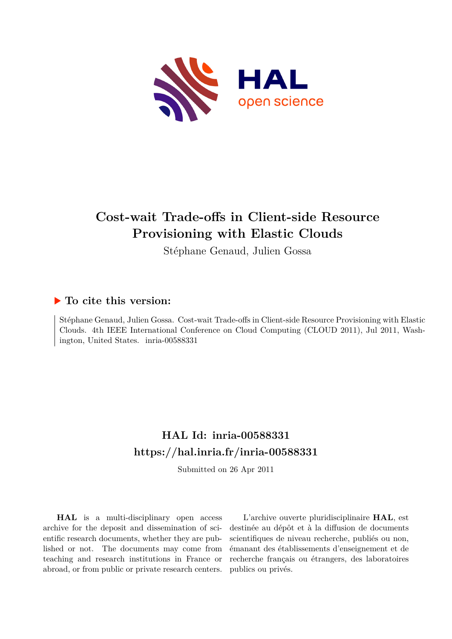

# **Cost-wait Trade-offs in Client-side Resource Provisioning with Elastic Clouds**

Stéphane Genaud, Julien Gossa

# **To cite this version:**

Stéphane Genaud, Julien Gossa. Cost-wait Trade-offs in Client-side Resource Provisioning with Elastic Clouds. 4th IEEE International Conference on Cloud Computing (CLOUD 2011), Jul 2011, Washington, United States. inria-00588331

# **HAL Id: inria-00588331 <https://hal.inria.fr/inria-00588331>**

Submitted on 26 Apr 2011

**HAL** is a multi-disciplinary open access archive for the deposit and dissemination of scientific research documents, whether they are published or not. The documents may come from teaching and research institutions in France or abroad, or from public or private research centers.

L'archive ouverte pluridisciplinaire **HAL**, est destinée au dépôt et à la diffusion de documents scientifiques de niveau recherche, publiés ou non, émanant des établissements d'enseignement et de recherche français ou étrangers, des laboratoires publics ou privés.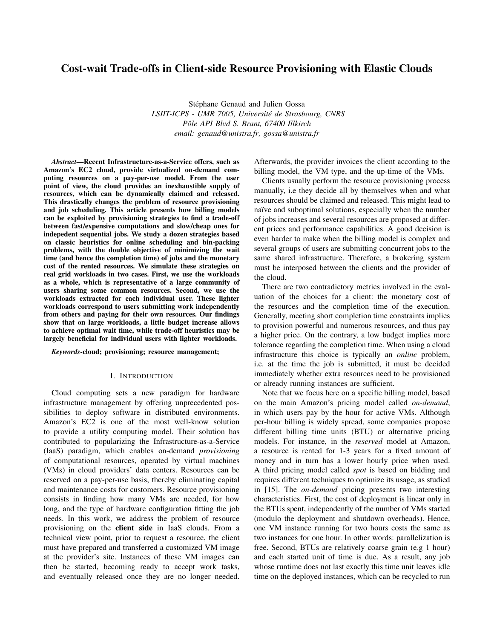# Cost-wait Trade-offs in Client-side Resource Provisioning with Elastic Clouds

Stéphane Genaud and Julien Gossa *LSIIT-ICPS - UMR 7005, Universite de Strasbourg, CNRS ´ Pole API Blvd S. Brant, 67400 Illkirch ˆ email: genaud@unistra.fr, gossa@unistra.fr*

*Abstract*—Recent Infrastructure-as-a-Service offers, such as Amazon's EC2 cloud, provide virtualized on-demand computing resources on a pay-per-use model. From the user point of view, the cloud provides an inexhaustible supply of resources, which can be dynamically claimed and released. This drastically changes the problem of resource provisioning and job scheduling. This article presents how billing models can be exploited by provisioning strategies to find a trade-off between fast/expensive computations and slow/cheap ones for indepedent sequential jobs. We study a dozen strategies based on classic heuristics for online scheduling and bin-packing problems, with the double objective of minimizing the wait time (and hence the completion time) of jobs and the monetary cost of the rented resources. We simulate these strategies on real grid workloads in two cases. First, we use the workloads as a whole, which is representative of a large community of users sharing some common resources. Second, we use the workloads extracted for each individual user. These lighter workloads correspond to users submitting work independently from others and paying for their own resources. Our findings show that on large workloads, a little budget increase allows to achieve optimal wait time, while trade-off heuristics may be largely beneficial for individual users with lighter workloads.

#### *Keywords*-cloud; provisioning; resource management;

#### I. INTRODUCTION

Cloud computing sets a new paradigm for hardware infrastructure management by offering unprecedented possibilities to deploy software in distributed environments. Amazon's EC2 is one of the most well-know solution to provide a utility computing model. Their solution has contributed to popularizing the Infrastructure-as-a-Service (IaaS) paradigm, which enables on-demand *provisioning* of computational resources, operated by virtual machines (VMs) in cloud providers' data centers. Resources can be reserved on a pay-per-use basis, thereby eliminating capital and maintenance costs for customers. Resource provisioning consists in finding how many VMs are needed, for how long, and the type of hardware configuration fitting the job needs. In this work, we address the problem of resource provisioning on the client side in IaaS clouds. From a technical view point, prior to request a resource, the client must have prepared and transferred a customized VM image at the provider's site. Instances of these VM images can then be started, becoming ready to accept work tasks, and eventually released once they are no longer needed. Afterwards, the provider invoices the client according to the billing model, the VM type, and the up-time of the VMs.

Clients usually perform the resource provisioning process manually, i.e they decide all by themselves when and what resources should be claimed and released. This might lead to naïve and suboptimal solutions, especially when the number of jobs increases and several resources are proposed at different prices and performance capabilities. A good decision is even harder to make when the billing model is complex and several groups of users are submitting concurrent jobs to the same shared infrastructure. Therefore, a brokering system must be interposed between the clients and the provider of the cloud.

There are two contradictory metrics involved in the evaluation of the choices for a client: the monetary cost of the resources and the completion time of the execution. Generally, meeting short completion time constraints implies to provision powerful and numerous resources, and thus pay a higher price. On the contrary, a low budget implies more tolerance regarding the completion time. When using a cloud infrastructure this choice is typically an *online* problem, i.e. at the time the job is submitted, it must be decided immediately whether extra resources need to be provisioned or already running instances are sufficient.

Note that we focus here on a specific billing model, based on the main Amazon's pricing model called *on-demand*, in which users pay by the hour for active VMs. Although per-hour billing is widely spread, some companies propose different billing time units (BTU) or alternative pricing models. For instance, in the *reserved* model at Amazon, a resource is rented for 1-3 years for a fixed amount of money and in turn has a lower hourly price when used. A third pricing model called *spot* is based on bidding and requires different techniques to optimize its usage, as studied in [15]. The *on-demand* pricing presents two interesting characteristics. First, the cost of deployment is linear only in the BTUs spent, independently of the number of VMs started (modulo the deployment and shutdown overheads). Hence, one VM instance running for two hours costs the same as two instances for one hour. In other words: parallelization is free. Second, BTUs are relatively coarse grain (e.g 1 hour) and each started unit of time is due. As a result, any job whose runtime does not last exactly this time unit leaves idle time on the deployed instances, which can be recycled to run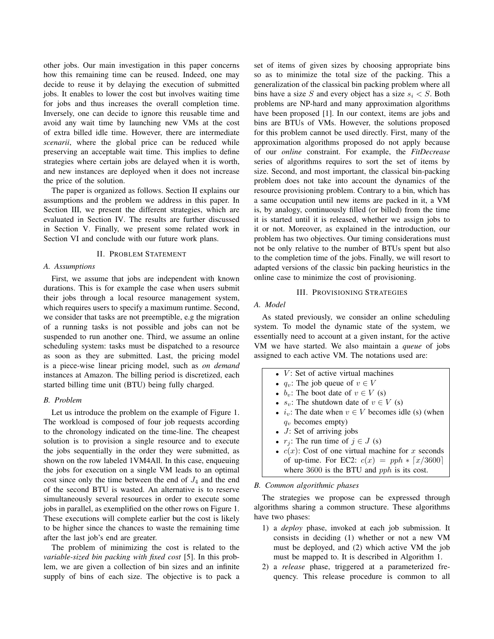other jobs. Our main investigation in this paper concerns how this remaining time can be reused. Indeed, one may decide to reuse it by delaying the execution of submitted jobs. It enables to lower the cost but involves waiting time for jobs and thus increases the overall completion time. Inversely, one can decide to ignore this reusable time and avoid any wait time by launching new VMs at the cost of extra billed idle time. However, there are intermediate *scenarii*, where the global price can be reduced while preserving an acceptable wait time. This implies to define strategies where certain jobs are delayed when it is worth, and new instances are deployed when it does not increase the price of the solution.

The paper is organized as follows. Section II explains our assumptions and the problem we address in this paper. In Section III, we present the different strategies, which are evaluated in Section IV. The results are further discussed in Section V. Finally, we present some related work in Section VI and conclude with our future work plans.

## II. PROBLEM STATEMENT

## *A. Assumptions*

First, we assume that jobs are independent with known durations. This is for example the case when users submit their jobs through a local resource management system, which requires users to specify a maximum runtime. Second, we consider that tasks are not preemptible, e.g the migration of a running tasks is not possible and jobs can not be suspended to run another one. Third, we assume an online scheduling system: tasks must be dispatched to a resource as soon as they are submitted. Last, the pricing model is a piece-wise linear pricing model, such as *on demand* instances at Amazon. The billing period is discretized, each started billing time unit (BTU) being fully charged.

#### *B. Problem*

Let us introduce the problem on the example of Figure 1. The workload is composed of four job requests according to the chronology indicated on the time-line. The cheapest solution is to provision a single resource and to execute the jobs sequentially in the order they were submitted, as shown on the row labeled 1VM4All. In this case, enqueuing the jobs for execution on a single VM leads to an optimal cost since only the time between the end of  $J_4$  and the end of the second BTU is wasted. An alternative is to reserve simultaneously several resources in order to execute some jobs in parallel, as exemplified on the other rows on Figure 1. These executions will complete earlier but the cost is likely to be higher since the chances to waste the remaining time after the last job's end are greater.

The problem of minimizing the cost is related to the *variable-sized bin packing with fixed cost* [5]. In this problem, we are given a collection of bin sizes and an infinite supply of bins of each size. The objective is to pack a set of items of given sizes by choosing appropriate bins so as to minimize the total size of the packing. This a generalization of the classical bin packing problem where all bins have a size S and every object has a size  $s_i < S$ . Both problems are NP-hard and many approximation algorithms have been proposed [1]. In our context, items are jobs and bins are BTUs of VMs. However, the solutions proposed for this problem cannot be used directly. First, many of the approximation algorithms proposed do not apply because of our *online* constraint. For example, the *FitDecrease* series of algorithms requires to sort the set of items by size. Second, and most important, the classical bin-packing problem does not take into account the dynamics of the resource provisioning problem. Contrary to a bin, which has a same occupation until new items are packed in it, a VM is, by analogy, continuously filled (or billed) from the time it is started until it is released, whether we assign jobs to it or not. Moreover, as explained in the introduction, our problem has two objectives. Our timing considerations must not be only relative to the number of BTUs spent but also to the completion time of the jobs. Finally, we will resort to adapted versions of the classic bin packing heuristics in the online case to minimize the cost of provisioning.

## III. PROVISIONING STRATEGIES

# *A. Model*

As stated previously, we consider an online scheduling system. To model the dynamic state of the system, we essentially need to account at a given instant, for the active VM we have started. We also maintain a *queue* of jobs assigned to each active VM. The notations used are:

| • $V:$ Set of active virtual machines                    |
|----------------------------------------------------------|
| • $q_v$ : The job queue of $v \in V$                     |
| • $b_v$ : The boot date of $v \in V$ (s)                 |
| • $s_v$ : The shutdown date of $v \in V$ (s)             |
| • $i_v$ : The date when $v \in V$ becomes idle (s) (when |
| $q_v$ becomes empty)                                     |
| $\bullet$ J: Set of arriving jobs                        |
| • $r_i$ : The run time of $j \in J$ (s)                  |
| • $c(x)$ : Cost of one virtual machine for x seconds     |
| of up-time. For EC2: $c(x) = pph * [x/3600]$             |
| where $3600$ is the BTU and <i>pph</i> is its cost.      |
|                                                          |

#### *B. Common algorithmic phases*

The strategies we propose can be expressed through algorithms sharing a common structure. These algorithms have two phases:

- 1) a *deploy* phase, invoked at each job submission. It consists in deciding (1) whether or not a new VM must be deployed, and (2) which active VM the job must be mapped to. It is described in Algorithm 1.
- 2) a *release* phase, triggered at a parameterized frequency. This release procedure is common to all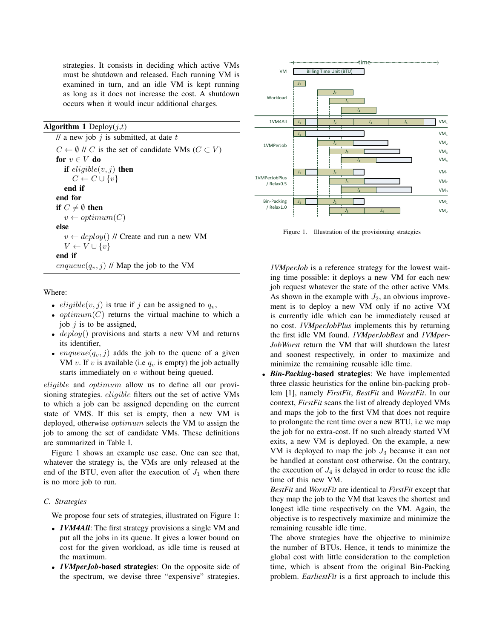strategies. It consists in deciding which active VMs must be shutdown and released. Each running VM is examined in turn, and an idle VM is kept running as long as it does not increase the cost. A shutdown occurs when it would incur additional charges.

# Algorithm 1 Deploy $(j,t)$

 $\pi$  a new job j is submitted, at date t  $C \leftarrow \emptyset$  // C is the set of candidate VMs ( $C \subset V$ ) for  $v \in V$  do if  $\text{eligible}(v, j)$  then  $C \leftarrow C \cup \{v\}$ end if end for if  $C \neq \emptyset$  then  $v \leftarrow optimum(C)$ else  $v \leftarrow$  *deplov()* // Create and run a new VM $V \leftarrow V \cup \{v\}$ end if

enqueue $(q_v, j)$  // Map the job to the VM

# Where:

- *eligible* $(v, j)$  is true if j can be assigned to  $q_v$ ,
- *optimum*( $C$ ) returns the virtual machine to which a job  $j$  is to be assigned,
- $deploy()$  provisions and starts a new VM and returns its identifier,
- enqueue $(q_v, j)$  adds the job to the queue of a given VM v. If v is available (i.e  $q_v$  is empty) the job actually starts immediately on  $v$  without being queued.

eligible and optimum allow us to define all our provisioning strategies. eligible filters out the set of active VMs to which a job can be assigned depending on the current state of VMS. If this set is empty, then a new VM is deployed, otherwise optimum selects the VM to assign the job to among the set of candidate VMs. These definitions are summarized in Table I.

Figure 1 shows an example use case. One can see that, whatever the strategy is, the VMs are only released at the end of the BTU, even after the execution of  $J_1$  when there is no more job to run.

## *C. Strategies*

We propose four sets of strategies, illustrated on Figure 1:

- *1VM4All*: The first strategy provisions a single VM and put all the jobs in its queue. It gives a lower bound on cost for the given workload, as idle time is reused at the maximum.
- *1VMperJob*-based strategies: On the opposite side of the spectrum, we devise three "expensive" strategies.



Figure 1. Illustration of the provisioning strategies

*1VMperJob* is a reference strategy for the lowest waiting time possible: it deploys a new VM for each new job request whatever the state of the other active VMs. As shown in the example with  $J_2$ , an obvious improvement is to deploy a new VM only if no active VM is currently idle which can be immediately reused at no cost. *1VMperJobPlus* implements this by returning the first idle VM found. *1VMperJobBest* and *1VMper-JobWorst* return the VM that will shutdown the latest and soonest respectively, in order to maximize and minimize the remaining reusable idle time.

• *Bin-Packing*-based strategies: We have implemented three classic heuristics for the online bin-packing problem [1], namely *FirstFit*, *BestFit* and *WorstFit*. In our context, *FirstFit* scans the list of already deployed VMs and maps the job to the first VM that does not require to prolongate the rent time over a new BTU, i.e we map the job for no extra-cost. If no such already started VM exits, a new VM is deployed. On the example, a new VM is deployed to map the job  $J_3$  because it can not be handled at constant cost otherwise. On the contrary, the execution of  $J_4$  is delayed in order to reuse the idle time of this new VM.

*BestFit* and *WorstFit* are identical to *FirstFit* except that they map the job to the VM that leaves the shortest and longest idle time respectively on the VM. Again, the objective is to respectively maximize and minimize the remaining reusable idle time.

The above strategies have the objective to minimize the number of BTUs. Hence, it tends to minimize the global cost with little consideration to the completion time, which is absent from the original Bin-Packing problem. *EarliestFit* is a first approach to include this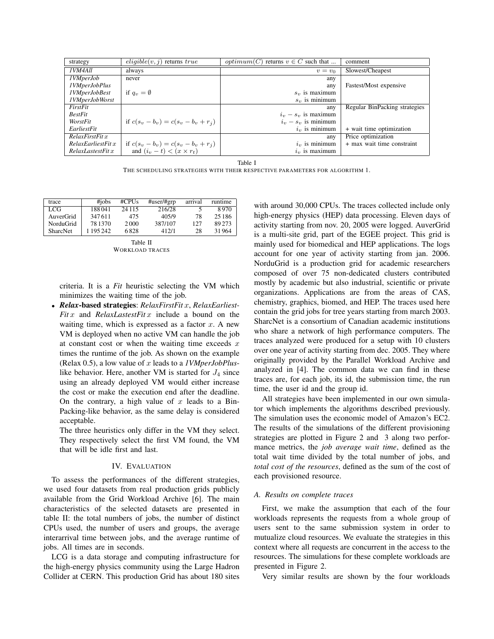| strategy             | $eligible(v, j)$ returns true          | <i>optimum</i> (C) returns $v \in C$ such that | comment                       |
|----------------------|----------------------------------------|------------------------------------------------|-------------------------------|
| <b>IVM4All</b>       | always                                 | $v=v_0$                                        | Slowest/Cheapest              |
| <i>lVMperJob</i>     | never                                  | any                                            |                               |
| <i>IVMperJobPlus</i> |                                        | any                                            | Fastest/Most expensive        |
| 1VMperJobBest        | if $q_v = \emptyset$                   | $s_v$ is maximum                               |                               |
| 1VMperJobWorst       |                                        | $s_v$ is minimum                               |                               |
| <b>FirstFit</b>      |                                        | any                                            | Regular BinPacking strategies |
| <b>BestFit</b>       |                                        | $i_v - s_v$ is maximum                         |                               |
| WorstFit             | if $c(s_v - b_v) = c(s_v - b_v + r_i)$ | $i_v - s_v$ is minimum                         |                               |
| EarliestFit          |                                        | $i_{\nu}$ is minimum                           | + wait time optimization      |
| RelaxFirstFit x      |                                        | any                                            | Price optimization            |
| RelaxEarliestFit x   | if $c(s_v - b_v) = c(s_v - b_v + r_i)$ | $i_{\eta}$ is minimum                          | + max wait time constraint    |
| RelaxLastes tFit x   | and $(i_v - t) < (x \times r_t)$       | $i_v$ is maximum                               |                               |

Table I

THE SCHEDULING STRATEGIES WITH THEIR RESPECTIVE PARAMETERS FOR ALGORITHM 1.

| trace           | #iobs         | #CPUs    | $\#user/\#grp$ | arrival | runtime |
|-----------------|---------------|----------|----------------|---------|---------|
| LCG             | 188041        | 24 1 1 5 | 216/28         |         | 8970    |
| AuverGrid       | 347611        | 475      | 405/9          | 78      | 25186   |
| NorduGrid       | 78 1370       | 2000     | 387/107        | 127     | 89273   |
| <b>SharcNet</b> | 1 1 9 5 2 4 2 | 6828     | 412/1          | 28      | 31964   |

Table II WORKLOAD TRACES

criteria. It is a *Fit* heuristic selecting the VM which minimizes the waiting time of the job.

• *Relax*-based strategies: *RelaxFirstFit* x, *RelaxEarliest-Fit* x and *RelaxLastestFit* x include a bound on the waiting time, which is expressed as a factor  $x$ . A new VM is deployed when no active VM can handle the job at constant cost or when the waiting time exceeds  $x$ times the runtime of the job. As shown on the example (Relax 0.5), a low value of x leads to a *1VMperJobPlus*like behavior. Here, another VM is started for  $J_4$  since using an already deployed VM would either increase the cost or make the execution end after the deadline. On the contrary, a high value of  $x$  leads to a Bin-Packing-like behavior, as the same delay is considered acceptable.

The three heuristics only differ in the VM they select. They respectively select the first VM found, the VM that will be idle first and last.

#### IV. EVALUATION

To assess the performances of the different strategies, we used four datasets from real production grids publicly available from the Grid Workload Archive [6]. The main characteristics of the selected datasets are presented in table II: the total numbers of jobs, the number of distinct CPUs used, the number of users and groups, the average interarrival time between jobs, and the average runtime of jobs. All times are in seconds.

LCG is a data storage and computing infrastructure for the high-energy physics community using the Large Hadron Collider at CERN. This production Grid has about 180 sites with around 30,000 CPUs. The traces collected include only high-energy physics (HEP) data processing. Eleven days of activity starting from nov. 20, 2005 were logged. AuverGrid is a multi-site grid, part of the EGEE project. This grid is mainly used for biomedical and HEP applications. The logs account for one year of activity starting from jan. 2006. NorduGrid is a production grid for academic researchers composed of over 75 non-dedicated clusters contributed mostly by academic but also industrial, scientific or private organizations. Applications are from the areas of CAS, chemistry, graphics, biomed, and HEP. The traces used here contain the grid jobs for tree years starting from march 2003. SharcNet is a consortium of Canadian academic institutions who share a network of high performance computers. The traces analyzed were produced for a setup with 10 clusters over one year of activity starting from dec. 2005. They where originally provided by the Parallel Workload Archive and analyzed in [4]. The common data we can find in these traces are, for each job, its id, the submission time, the run time, the user id and the group id.

All strategies have been implemented in our own simulator which implements the algorithms described previously. The simulation uses the economic model of Amazon's EC2. The results of the simulations of the different provisioning strategies are plotted in Figure 2 and 3 along two performance metrics, the *job average wait time*, defined as the total wait time divided by the total number of jobs, and *total cost of the resources*, defined as the sum of the cost of each provisioned resource.

#### *A. Results on complete traces*

First, we make the assumption that each of the four workloads represents the requests from a whole group of users sent to the same submission system in order to mutualize cloud resources. We evaluate the strategies in this context where all requests are concurrent in the access to the resources. The simulations for these complete workloads are presented in Figure 2.

Very similar results are shown by the four workloads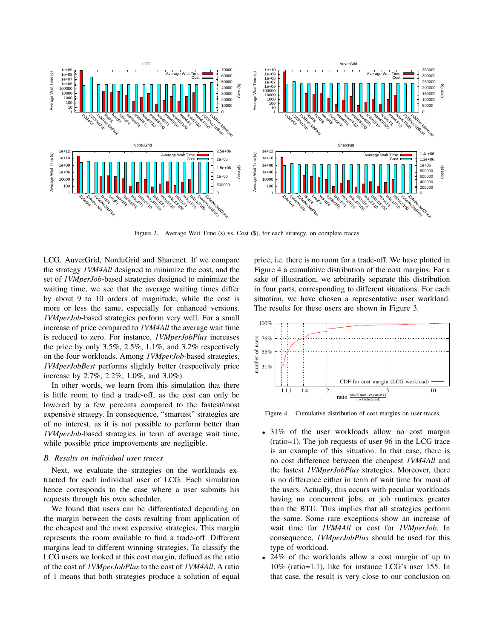

Figure 2. Average Wait Time (s) vs. Cost (\$), for each strategy, on complete traces

LCG, AuverGrid, NorduGrid and Sharcnet. If we compare the strategy *1VM4All* designed to minimize the cost, and the set of *1VMperJob*-based strategies designed to minimize the waiting time, we see that the average waiting times differ by about 9 to 10 orders of magnitude, while the cost is more or less the same, especially for enhanced versions. *1VMperJob*-based strategies perform very well. For a small increase of price compared to *1VM4All* the average wait time is reduced to zero. For instance, *1VMperJobPlus* increases the price by only  $3.5\%, 2.5\%, 1.1\%,$  and  $3.2\%$  respectively on the four workloads. Among *1VMperJob*-based strategies, *1VMperJobBest* performs slightly better (respectively price increase by 2.7%, 2.2%, 1.0%, and 3.0%).

In other words, we learn from this simulation that there is little room to find a trade-off, as the cost can only be lowered by a few percents compared to the fastest/most expensive strategy. In consequence, "smartest" strategies are of no interest, as it is not possible to perform better than *1VMperJob*-based strategies in term of average wait time, while possible price improvements are negligible.

#### *B. Results on individual user traces*

Next, we evaluate the strategies on the workloads extracted for each individual user of LCG. Each simulation hence corresponds to the case where a user submits his requests through his own scheduler.

We found that users can be differentiated depending on the margin between the costs resulting from application of the cheapest and the most expensive strategies. This margin represents the room available to find a trade-off. Different margins lead to different winning strategies. To classify the LCG users we looked at this cost margin, defined as the ratio of the cost of *1VMperJobPlus* to the cost of *1VM4All*. A ratio of 1 means that both strategies produce a solution of equal price, i.e. there is no room for a trade-off. We have plotted in Figure 4 a cumulative distribution of the cost margins. For a sake of illustration, we arbitrarily separate this distribution in four parts, corresponding to different situations. For each situation, we have chosen a representative user workload. The results for these users are shown in Figure 3.



Figure 4. Cumulative distribution of cost margins on user traces

- 31% of the user workloads allow no cost margin (ratio=1). The job requests of user 96 in the LCG trace is an example of this situation. In that case, there is no cost difference between the cheapest *1VM4All* and the fastest *1VMperJobPlus* strategies. Moreover, there is no difference either in term of wait time for most of the users. Actually, this occurs with peculiar workloads having no concurrent jobs, or job runtimes greater than the BTU. This implies that all strategies perform the same. Some rare exceptions show an increase of wait time for *1VM4All* or cost for *1VMperJob*. In consequence, *1VMperJobPlus* should be used for this type of workload.
- 24% of the workloads allow a cost margin of up to 10% (ratio=1.1), like for instance LCG's user 155. In that case, the result is very close to our conclusion on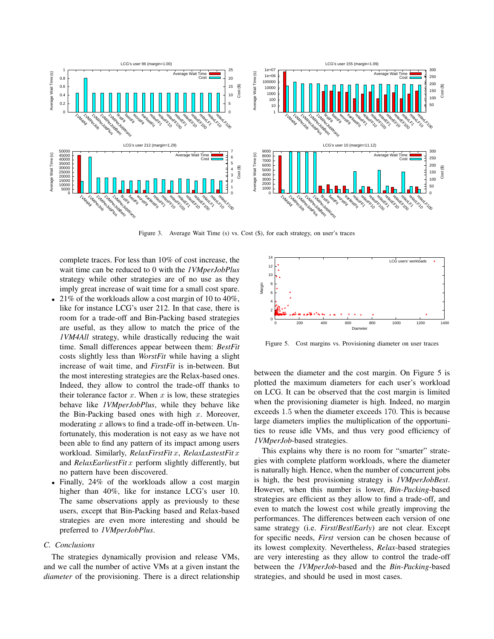

Figure 3. Average Wait Time (s) vs. Cost (\$), for each strategy, on user's traces

complete traces. For less than 10% of cost increase, the wait time can be reduced to 0 with the *1VMperJobPlus* strategy while other strategies are of no use as they imply great increase of wait time for a small cost spare.

- $21\%$  of the workloads allow a cost margin of 10 to 40%, like for instance LCG's user 212. In that case, there is room for a trade-off and Bin-Packing based strategies are useful, as they allow to match the price of the *1VM4All* strategy, while drastically reducing the wait time. Small differences appear between them: *BestFit* costs slightly less than *WorstFit* while having a slight increase of wait time, and *FirstFit* is in-between. But the most interesting strategies are the Relax-based ones. Indeed, they allow to control the trade-off thanks to their tolerance factor  $x$ . When  $x$  is low, these strategies behave like *1VMperJobPlus*, while they behave like the Bin-Packing based ones with high  $x$ . Moreover, moderating  $x$  allows to find a trade-off in-between. Unfortunately, this moderation is not easy as we have not been able to find any pattern of its impact among users workload. Similarly, *RelaxFirstFit* x, *RelaxLastestFit* x and *RelaxEarliestFit* x perform slightly differently, but no pattern have been discovered.
- Finally, 24% of the workloads allow a cost margin higher than 40%, like for instance LCG's user 10. The same observations apply as previously to these users, except that Bin-Packing based and Relax-based strategies are even more interesting and should be preferred to *1VMperJobPlus*.

#### *C. Conclusions*

The strategies dynamically provision and release VMs, and we call the number of active VMs at a given instant the *diameter* of the provisioning. There is a direct relationship



Figure 5. Cost margins vs. Provisioning diameter on user traces

between the diameter and the cost margin. On Figure 5 is plotted the maximum diameters for each user's workload on LCG. It can be observed that the cost margin is limited when the provisioning diameter is high. Indeed, no margin exceeds 1.5 when the diameter exceeds 170. This is because large diameters implies the multiplication of the opportunities to reuse idle VMs, and thus very good efficiency of *1VMperJob*-based strategies.

This explains why there is no room for "smarter" strategies with complete platform workloads, where the diameter is naturally high. Hence, when the number of concurrent jobs is high, the best provisioning strategy is *1VMperJobBest*. However, when this number is lower, *Bin-Packing*-based strategies are efficient as they allow to find a trade-off, and even to match the lowest cost while greatly improving the performances. The differences between each version of one same strategy (i.e. *First*/*Best*/*Early*) are not clear. Except for specific needs, *First* version can be chosen because of its lowest complexity. Nevertheless, *Relax*-based strategies are very interesting as they allow to control the trade-off between the *1VMperJob*-based and the *Bin-Packing*-based strategies, and should be used in most cases.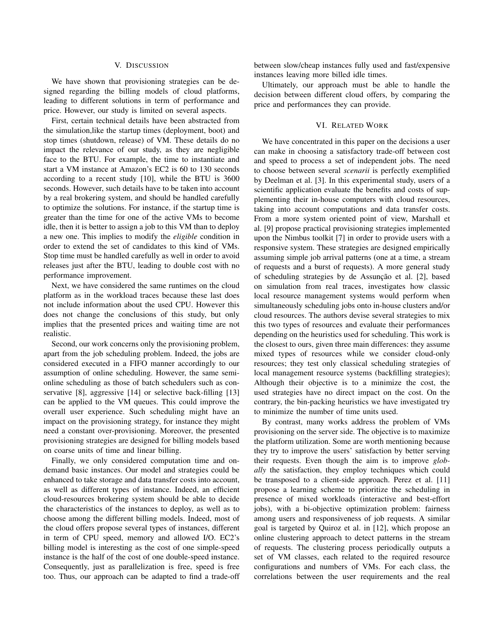## V. DISCUSSION

We have shown that provisioning strategies can be designed regarding the billing models of cloud platforms, leading to different solutions in term of performance and price. However, our study is limited on several aspects.

First, certain technical details have been abstracted from the simulation,like the startup times (deployment, boot) and stop times (shutdown, release) of VM. These details do no impact the relevance of our study, as they are negligible face to the BTU. For example, the time to instantiate and start a VM instance at Amazon's EC2 is 60 to 130 seconds according to a recent study [10], while the BTU is 3600 seconds. However, such details have to be taken into account by a real brokering system, and should be handled carefully to optimize the solutions. For instance, if the startup time is greater than the time for one of the active VMs to become idle, then it is better to assign a job to this VM than to deploy a new one. This implies to modify the *eligible* condition in order to extend the set of candidates to this kind of VMs. Stop time must be handled carefully as well in order to avoid releases just after the BTU, leading to double cost with no performance improvement.

Next, we have considered the same runtimes on the cloud platform as in the workload traces because these last does not include information about the used CPU. However this does not change the conclusions of this study, but only implies that the presented prices and waiting time are not realistic.

Second, our work concerns only the provisioning problem, apart from the job scheduling problem. Indeed, the jobs are considered executed in a FIFO manner accordingly to our assumption of online scheduling. However, the same semionline scheduling as those of batch schedulers such as conservative [8], aggressive [14] or selective back-filling [13] can be applied to the VM queues. This could improve the overall user experience. Such scheduling might have an impact on the provisioning strategy, for instance they might need a constant over-provisioning. Moreover, the presented provisioning strategies are designed for billing models based on coarse units of time and linear billing.

Finally, we only considered computation time and ondemand basic instances. Our model and strategies could be enhanced to take storage and data transfer costs into account, as well as different types of instance. Indeed, an efficient cloud-resources brokering system should be able to decide the characteristics of the instances to deploy, as well as to choose among the different billing models. Indeed, most of the cloud offers propose several types of instances, different in term of CPU speed, memory and allowed I/O. EC2's billing model is interesting as the cost of one simple-speed instance is the half of the cost of one double-speed instance. Consequently, just as parallelization is free, speed is free too. Thus, our approach can be adapted to find a trade-off between slow/cheap instances fully used and fast/expensive instances leaving more billed idle times.

Ultimately, our approach must be able to handle the decision between different cloud offers, by comparing the price and performances they can provide.

## VI. RELATED WORK

We have concentrated in this paper on the decisions a user can make in choosing a satisfactory trade-off between cost and speed to process a set of independent jobs. The need to choose between several *scenarii* is perfectly exemplified by Deelman et al. [3]. In this experimental study, users of a scientific application evaluate the benefits and costs of supplementing their in-house computers with cloud resources, taking into account computations and data transfer costs. From a more system oriented point of view, Marshall et al. [9] propose practical provisioning strategies implemented upon the Nimbus toolkit [7] in order to provide users with a responsive system. These strategies are designed empirically assuming simple job arrival patterns (one at a time, a stream of requests and a burst of requests). A more general study of scheduling strategies by de Assunção et al. [2], based on simulation from real traces, investigates how classic local resource management systems would perform when simultaneously scheduling jobs onto in-house clusters and/or cloud resources. The authors devise several strategies to mix this two types of resources and evaluate their performances depending on the heuristics used for scheduling. This work is the closest to ours, given three main differences: they assume mixed types of resources while we consider cloud-only resources; they test only classical scheduling strategies of local management resource systems (backfilling strategies); Although their objective is to a minimize the cost, the used strategies have no direct impact on the cost. On the contrary, the bin-packing heuristics we have investigated try to minimize the number of time units used.

By contrast, many works address the problem of VMs provisioning on the server side. The objective is to maximize the platform utilization. Some are worth mentioning because they try to improve the users' satisfaction by better serving their requests. Even though the aim is to improve *globally* the satisfaction, they employ techniques which could be transposed to a client-side approach. Perez et al. [11] propose a learning scheme to prioritize the scheduling in presence of mixed workloads (interactive and best-effort jobs), with a bi-objective optimization problem: fairness among users and responsiveness of job requests. A similar goal is targeted by Quiroz et al. in [12], which propose an online clustering approach to detect patterns in the stream of requests. The clustering process periodically outputs a set of VM classes, each related to the required resource configurations and numbers of VMs. For each class, the correlations between the user requirements and the real